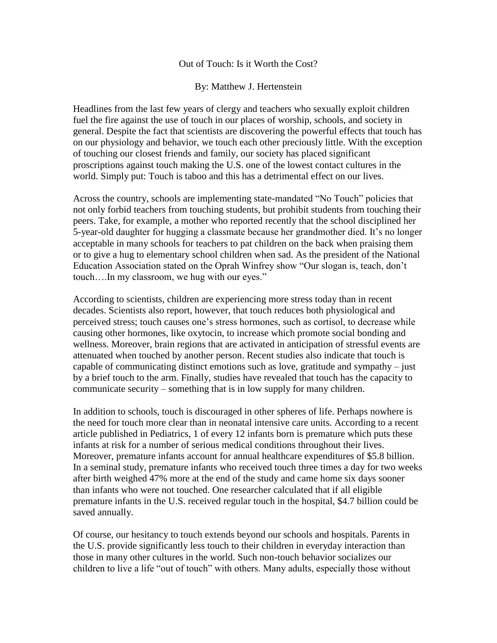## Out of Touch: Is it Worth the Cost?

## By: Matthew J. Hertenstein

Headlines from the last few years of clergy and teachers who sexually exploit children fuel the fire against the use of touch in our places of worship, schools, and society in general. Despite the fact that scientists are discovering the powerful effects that touch has on our physiology and behavior, we touch each other preciously little. With the exception of touching our closest friends and family, our society has placed significant proscriptions against touch making the U.S. one of the lowest contact cultures in the world. Simply put: Touch is taboo and this has a detrimental effect on our lives.

Across the country, schools are implementing state-mandated "No Touch" policies that not only forbid teachers from touching students, but prohibit students from touching their peers. Take, for example, a mother who reported recently that the school disciplined her 5-year-old daughter for hugging a classmate because her grandmother died. It's no longer acceptable in many schools for teachers to pat children on the back when praising them or to give a hug to elementary school children when sad. As the president of the National Education Association stated on the Oprah Winfrey show "Our slogan is, teach, don't touch….In my classroom, we hug with our eyes."

According to scientists, children are experiencing more stress today than in recent decades. Scientists also report, however, that touch reduces both physiological and perceived stress; touch causes one's stress hormones, such as cortisol, to decrease while causing other hormones, like oxytocin, to increase which promote social bonding and wellness. Moreover, brain regions that are activated in anticipation of stressful events are attenuated when touched by another person. Recent studies also indicate that touch is capable of communicating distinct emotions such as love, gratitude and sympathy – just by a brief touch to the arm. Finally, studies have revealed that touch has the capacity to communicate security – something that is in low supply for many children.

In addition to schools, touch is discouraged in other spheres of life. Perhaps nowhere is the need for touch more clear than in neonatal intensive care units. According to a recent article published in Pediatrics, 1 of every 12 infants born is premature which puts these infants at risk for a number of serious medical conditions throughout their lives. Moreover, premature infants account for annual healthcare expenditures of \$5.8 billion. In a seminal study, premature infants who received touch three times a day for two weeks after birth weighed 47% more at the end of the study and came home six days sooner than infants who were not touched. One researcher calculated that if all eligible premature infants in the U.S. received regular touch in the hospital, \$4.7 billion could be saved annually.

Of course, our hesitancy to touch extends beyond our schools and hospitals. Parents in the U.S. provide significantly less touch to their children in everyday interaction than those in many other cultures in the world. Such non-touch behavior socializes our children to live a life "out of touch" with others. Many adults, especially those without